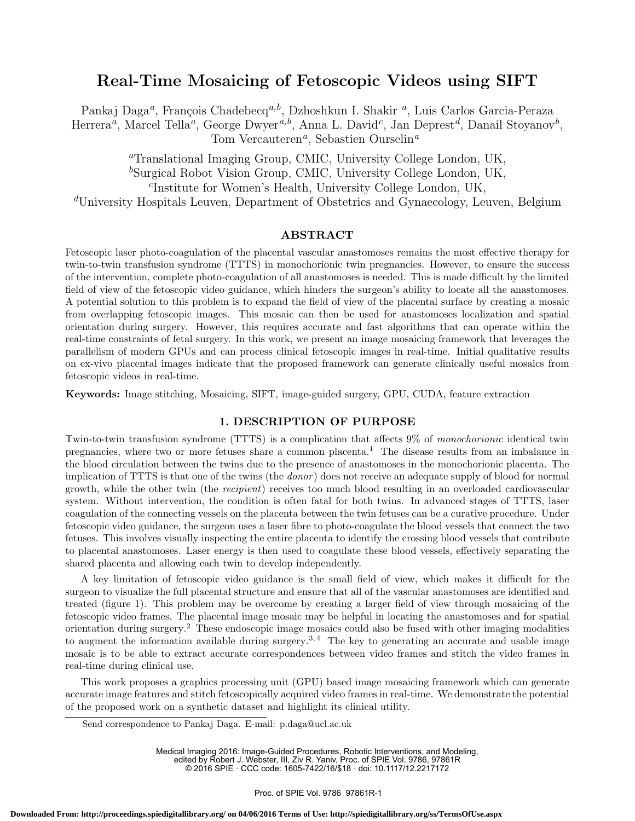# Real-Time Mosaicing of Fetoscopic Videos using SIFT

Pankaj Daga<sup>a</sup>, François Chadebecq<sup>a,b</sup>, Dzhoshkun I. Shakir<sup>a</sup>, Luis Carlos Garcia-Peraza Herrera<sup>a</sup>, Marcel Tella<sup>a</sup>, George Dwyer<sup>a,b</sup>, Anna L. David<sup>c</sup>, Jan Deprest<sup>d</sup>, Danail Stoyanov<sup>b</sup>, Tom Vercauteren<sup>a</sup>, Sebastien Ourselin<sup>a</sup>

<sup>a</sup>Translational Imaging Group, CMIC, University College London, UK,

 ${}^{b}$ Surgical Robot Vision Group, CMIC, University College London, UK,

c Institute for Women's Health, University College London, UK,

<sup>d</sup>University Hospitals Leuven, Department of Obstetrics and Gynaecology, Leuven, Belgium

#### ABSTRACT

Fetoscopic laser photo-coagulation of the placental vascular anastomoses remains the most effective therapy for twin-to-twin transfusion syndrome (TTTS) in monochorionic twin pregnancies. However, to ensure the success of the intervention, complete photo-coagulation of all anastomoses is needed. This is made difficult by the limited field of view of the fetoscopic video guidance, which hinders the surgeon's ability to locate all the anastomoses. A potential solution to this problem is to expand the field of view of the placental surface by creating a mosaic from overlapping fetoscopic images. This mosaic can then be used for anastomoses localization and spatial orientation during surgery. However, this requires accurate and fast algorithms that can operate within the real-time constraints of fetal surgery. In this work, we present an image mosaicing framework that leverages the parallelism of modern GPUs and can process clinical fetoscopic images in real-time. Initial qualitative results on ex-vivo placental images indicate that the proposed framework can generate clinically useful mosaics from fetoscopic videos in real-time.

Keywords: Image stitching, Mosaicing, SIFT, image-guided surgery, GPU, CUDA, feature extraction

# 1. DESCRIPTION OF PURPOSE

Twin-to-twin transfusion syndrome (TTTS) is a complication that affects 9% of monochorionic identical twin pregnancies, where two or more fetuses share a common placenta.<sup>1</sup> The disease results from an imbalance in the blood circulation between the twins due to the presence of anastomoses in the monochorionic placenta. The implication of TTTS is that one of the twins (the *donor*) does not receive an adequate supply of blood for normal growth, while the other twin (the recipient) receives too much blood resulting in an overloaded cardiovascular system. Without intervention, the condition is often fatal for both twins. In advanced stages of TTTS, laser coagulation of the connecting vessels on the placenta between the twin fetuses can be a curative procedure. Under fetoscopic video guidance, the surgeon uses a laser fibre to photo-coagulate the blood vessels that connect the two fetuses. This involves visually inspecting the entire placenta to identify the crossing blood vessels that contribute to placental anastomoses. Laser energy is then used to coagulate these blood vessels, effectively separating the shared placenta and allowing each twin to develop independently.

A key limitation of fetoscopic video guidance is the small field of view, which makes it difficult for the surgeon to visualize the full placental structure and ensure that all of the vascular anastomoses are identified and treated (figure 1). This problem may be overcome by creating a larger field of view through mosaicing of the fetoscopic video frames. The placental image mosaic may be helpful in locating the anastomoses and for spatial orientation during surgery.<sup>2</sup> These endoscopic image mosaics could also be fused with other imaging modalities to augment the information available during surgery.<sup>3,4</sup> The key to generating an accurate and usable image mosaic is to be able to extract accurate correspondences between video frames and stitch the video frames in real-time during clinical use.

This work proposes a graphics processing unit (GPU) based image mosaicing framework which can generate accurate image features and stitch fetoscopically acquired video frames in real-time. We demonstrate the potential of the proposed work on a synthetic dataset and highlight its clinical utility.

Send correspondence to Pankaj Daga. E-mail: p.daga@ucl.ac.uk

Medical Imaging 2016: Image-Guided Procedures, Robotic Interventions, and Modeling, edited by Robert J. Webster, III, Ziv R. Yaniv, Proc. of SPIE Vol. 9786, 97861R © 2016 SPIE · CCC code: 1605-7422/16/\$18 · doi: 10.1117/12.2217172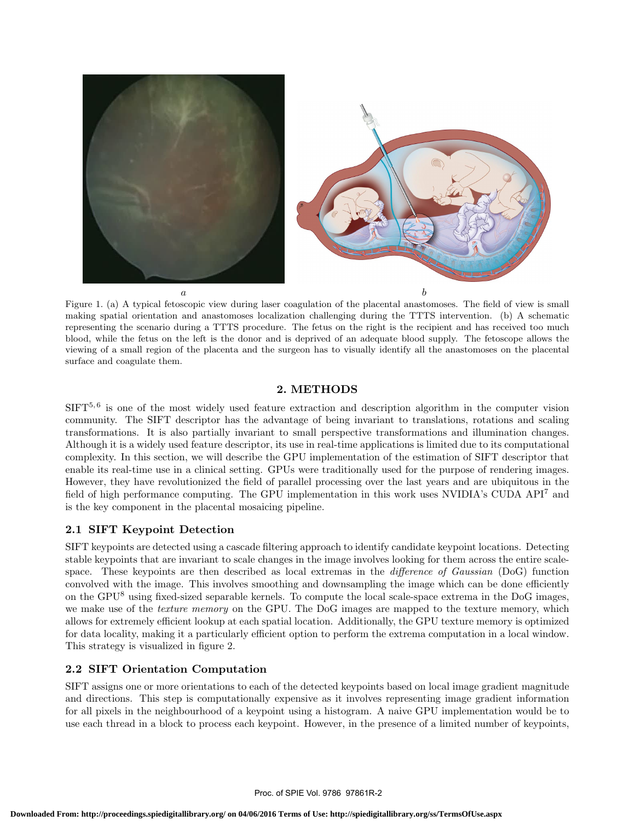

Figure 1. (a) A typical fetoscopic view during laser coagulation of the placental anastomoses. The field of view is small making spatial orientation and anastomoses localization challenging during the TTTS intervention. (b) A schematic representing the scenario during a TTTS procedure. The fetus on the right is the recipient and has received too much blood, while the fetus on the left is the donor and is deprived of an adequate blood supply. The fetoscope allows the viewing of a small region of the placenta and the surgeon has to visually identify all the anastomoses on the placental surface and coagulate them.

#### 2. METHODS

SIFT<sup>5,6</sup> is one of the most widely used feature extraction and description algorithm in the computer vision community. The SIFT descriptor has the advantage of being invariant to translations, rotations and scaling transformations. It is also partially invariant to small perspective transformations and illumination changes. Although it is a widely used feature descriptor, its use in real-time applications is limited due to its computational complexity. In this section, we will describe the GPU implementation of the estimation of SIFT descriptor that enable its real-time use in a clinical setting. GPUs were traditionally used for the purpose of rendering images. However, they have revolutionized the field of parallel processing over the last years and are ubiquitous in the field of high performance computing. The GPU implementation in this work uses NVIDIA's CUDA API<sup>7</sup> and is the key component in the placental mosaicing pipeline.

## 2.1 SIFT Keypoint Detection

SIFT keypoints are detected using a cascade filtering approach to identify candidate keypoint locations. Detecting stable keypoints that are invariant to scale changes in the image involves looking for them across the entire scalespace. These keypoints are then described as local extremas in the *difference of Gaussian* (DoG) function convolved with the image. This involves smoothing and downsampling the image which can be done efficiently on the GPU<sup>8</sup> using fixed-sized separable kernels. To compute the local scale-space extrema in the DoG images, we make use of the texture memory on the GPU. The DoG images are mapped to the texture memory, which allows for extremely efficient lookup at each spatial location. Additionally, the GPU texture memory is optimized for data locality, making it a particularly efficient option to perform the extrema computation in a local window. This strategy is visualized in figure 2.

## 2.2 SIFT Orientation Computation

SIFT assigns one or more orientations to each of the detected keypoints based on local image gradient magnitude and directions. This step is computationally expensive as it involves representing image gradient information for all pixels in the neighbourhood of a keypoint using a histogram. A naive GPU implementation would be to use each thread in a block to process each keypoint. However, in the presence of a limited number of keypoints,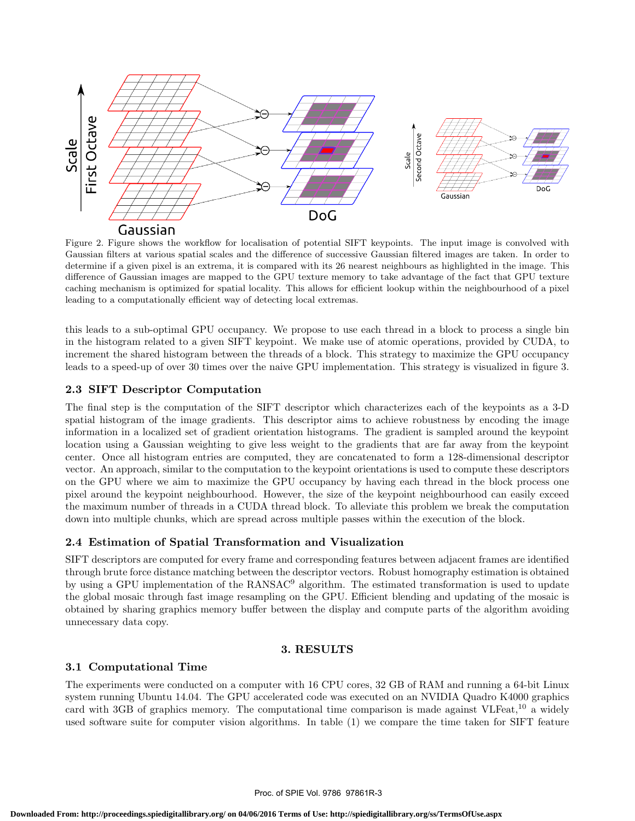

Figure 2. Figure shows the workflow for localisation of potential SIFT keypoints. The input image is convolved with Gaussian filters at various spatial scales and the difference of successive Gaussian filtered images are taken. In order to determine if a given pixel is an extrema, it is compared with its 26 nearest neighbours as highlighted in the image. This difference of Gaussian images are mapped to the GPU texture memory to take advantage of the fact that GPU texture caching mechanism is optimized for spatial locality. This allows for efficient lookup within the neighbourhood of a pixel leading to a computationally efficient way of detecting local extremas.

this leads to a sub-optimal GPU occupancy. We propose to use each thread in a block to process a single bin in the histogram related to a given SIFT keypoint. We make use of atomic operations, provided by CUDA, to increment the shared histogram between the threads of a block. This strategy to maximize the GPU occupancy leads to a speed-up of over 30 times over the naive GPU implementation. This strategy is visualized in figure 3.

#### 2.3 SIFT Descriptor Computation

The final step is the computation of the SIFT descriptor which characterizes each of the keypoints as a 3-D spatial histogram of the image gradients. This descriptor aims to achieve robustness by encoding the image information in a localized set of gradient orientation histograms. The gradient is sampled around the keypoint location using a Gaussian weighting to give less weight to the gradients that are far away from the keypoint center. Once all histogram entries are computed, they are concatenated to form a 128-dimensional descriptor vector. An approach, similar to the computation to the keypoint orientations is used to compute these descriptors on the GPU where we aim to maximize the GPU occupancy by having each thread in the block process one pixel around the keypoint neighbourhood. However, the size of the keypoint neighbourhood can easily exceed the maximum number of threads in a CUDA thread block. To alleviate this problem we break the computation down into multiple chunks, which are spread across multiple passes within the execution of the block.

## 2.4 Estimation of Spatial Transformation and Visualization

SIFT descriptors are computed for every frame and corresponding features between adjacent frames are identified through brute force distance matching between the descriptor vectors. Robust homography estimation is obtained by using a GPU implementation of the RANSAC<sup>9</sup> algorithm. The estimated transformation is used to update the global mosaic through fast image resampling on the GPU. Efficient blending and updating of the mosaic is obtained by sharing graphics memory buffer between the display and compute parts of the algorithm avoiding unnecessary data copy.

#### 3. RESULTS

#### 3.1 Computational Time

The experiments were conducted on a computer with 16 CPU cores, 32 GB of RAM and running a 64-bit Linux system running Ubuntu 14.04. The GPU accelerated code was executed on an NVIDIA Quadro K4000 graphics card with 3GB of graphics memory. The computational time comparison is made against VLFeat,<sup>10</sup> a widely used software suite for computer vision algorithms. In table (1) we compare the time taken for SIFT feature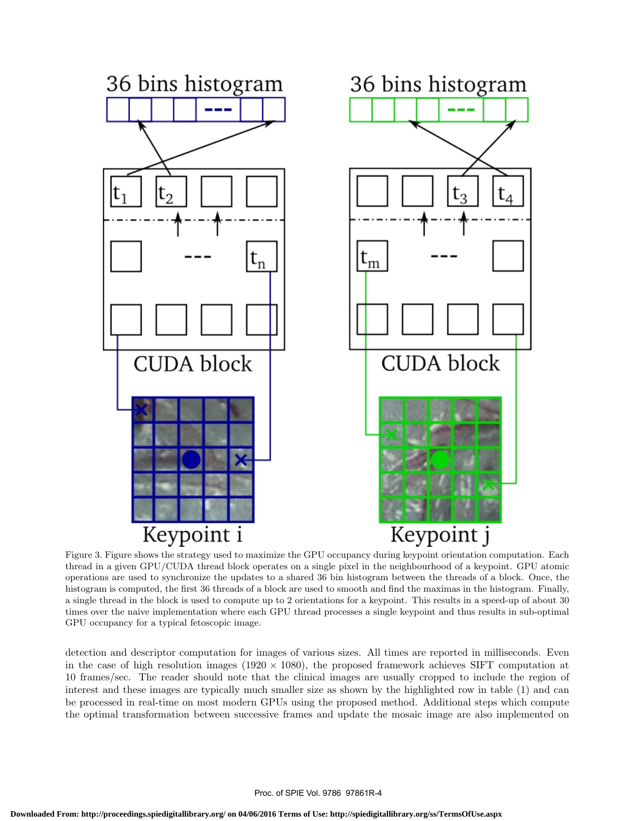

Figure 3. Figure shows the strategy used to maximize the GPU occupancy during keypoint orientation computation. Each thread in a given GPU/CUDA thread block operates on a single pixel in the neighbourhood of a keypoint. GPU atomic operations are used to synchronize the updates to a shared 36 bin histogram between the threads of a block. Once, the histogram is computed, the first 36 threads of a block are used to smooth and find the maximas in the histogram. Finally, a single thread in the block is used to compute up to 2 orientations for a keypoint. This results in a speed-up of about 30 times over the naive implementation where each GPU thread processes a single keypoint and thus results in sub-optimal GPU occupancy for a typical fetoscopic image.

detection and descriptor computation for images of various sizes. All times are reported in milliseconds. Even in the case of high resolution images (1920  $\times$  1080), the proposed framework achieves SIFT computation at 10 frames/sec. The reader should note that the clinical images are usually cropped to include the region of interest and these images are typically much smaller size as shown by the highlighted row in table (1) and can be processed in real-time on most modern GPUs using the proposed method. Additional steps which compute the optimal transformation between successive frames and update the mosaic image are also implemented on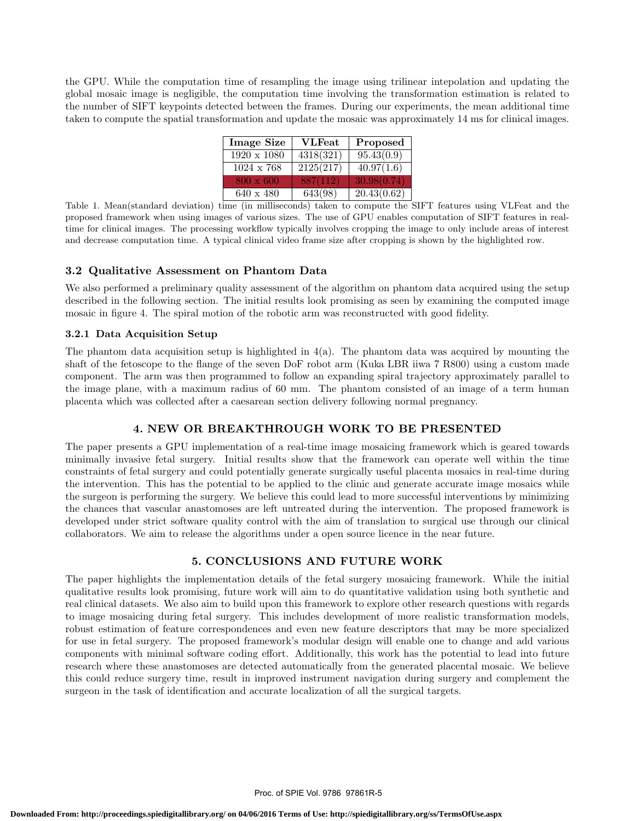the GPU. While the computation time of resampling the image using trilinear intepolation and updating the global mosaic image is negligible, the computation time involving the transformation estimation is related to the number of SIFT keypoints detected between the frames. During our experiments, the mean additional time taken to compute the spatial transformation and update the mosaic was approximately 14 ms for clinical images.

| <b>Image Size</b>  | <b>VLFeat</b> | Proposed                 |
|--------------------|---------------|--------------------------|
| $1920 \times 1080$ | 4318(321)     | 95.43(0.9)               |
| $1024$ x $768\,$   | 2125(217)     | 40.97(1.6)               |
| $800 \times 600$   | 887(112)      | 30.98(0.74)              |
| 640 x 480          | 643(98)       | $\overline{20.43(0.62)}$ |

Table 1. Mean(standard deviation) time (in milliseconds) taken to compute the SIFT features using VLFeat and the proposed framework when using images of various sizes. The use of GPU enables computation of SIFT features in realtime for clinical images. The processing workflow typically involves cropping the image to only include areas of interest and decrease computation time. A typical clinical video frame size after cropping is shown by the highlighted row.

## 3.2 Qualitative Assessment on Phantom Data

We also performed a preliminary quality assessment of the algorithm on phantom data acquired using the setup described in the following section. The initial results look promising as seen by examining the computed image mosaic in figure 4. The spiral motion of the robotic arm was reconstructed with good fidelity.

#### 3.2.1 Data Acquisition Setup

The phantom data acquisition setup is highlighted in  $4(a)$ . The phantom data was acquired by mounting the shaft of the fetoscope to the flange of the seven DoF robot arm (Kuka LBR iiwa 7 R800) using a custom made component. The arm was then programmed to follow an expanding spiral trajectory approximately parallel to the image plane, with a maximum radius of 60 mm. The phantom consisted of an image of a term human placenta which was collected after a caesarean section delivery following normal pregnancy.

## 4. NEW OR BREAKTHROUGH WORK TO BE PRESENTED

The paper presents a GPU implementation of a real-time image mosaicing framework which is geared towards minimally invasive fetal surgery. Initial results show that the framework can operate well within the time constraints of fetal surgery and could potentially generate surgically useful placenta mosaics in real-time during the intervention. This has the potential to be applied to the clinic and generate accurate image mosaics while the surgeon is performing the surgery. We believe this could lead to more successful interventions by minimizing the chances that vascular anastomoses are left untreated during the intervention. The proposed framework is developed under strict software quality control with the aim of translation to surgical use through our clinical collaborators. We aim to release the algorithms under a open source licence in the near future.

# 5. CONCLUSIONS AND FUTURE WORK

The paper highlights the implementation details of the fetal surgery mosaicing framework. While the initial qualitative results look promising, future work will aim to do quantitative validation using both synthetic and real clinical datasets. We also aim to build upon this framework to explore other research questions with regards to image mosaicing during fetal surgery. This includes development of more realistic transformation models, robust estimation of feature correspondences and even new feature descriptors that may be more specialized for use in fetal surgery. The proposed framework's modular design will enable one to change and add various components with minimal software coding effort. Additionally, this work has the potential to lead into future research where these anastomoses are detected automatically from the generated placental mosaic. We believe this could reduce surgery time, result in improved instrument navigation during surgery and complement the surgeon in the task of identification and accurate localization of all the surgical targets.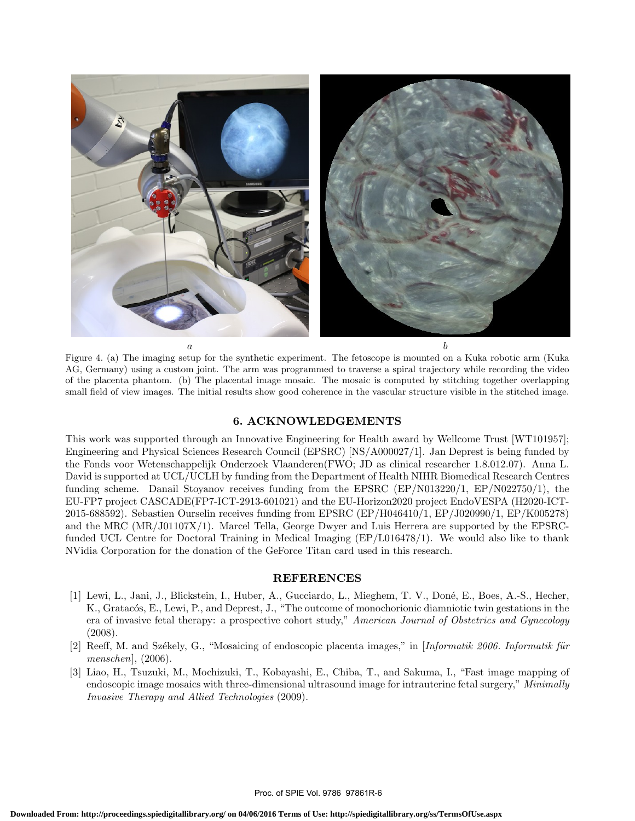

Figure 4. (a) The imaging setup for the synthetic experiment. The fetoscope is mounted on a Kuka robotic arm (Kuka AG, Germany) using a custom joint. The arm was programmed to traverse a spiral trajectory while recording the video of the placenta phantom. (b) The placental image mosaic. The mosaic is computed by stitching together overlapping small field of view images. The initial results show good coherence in the vascular structure visible in the stitched image.

#### 6. ACKNOWLEDGEMENTS

This work was supported through an Innovative Engineering for Health award by Wellcome Trust [WT101957]; Engineering and Physical Sciences Research Council (EPSRC) [NS/A000027/1]. Jan Deprest is being funded by the Fonds voor Wetenschappelijk Onderzoek Vlaanderen(FWO; JD as clinical researcher 1.8.012.07). Anna L. David is supported at UCL/UCLH by funding from the Department of Health NIHR Biomedical Research Centres funding scheme. Danail Stoyanov receives funding from the EPSRC (EP/N013220/1, EP/N022750/1), the EU-FP7 project CASCADE(FP7-ICT-2913-601021) and the EU-Horizon2020 project EndoVESPA (H2020-ICT-2015-688592). Sebastien Ourselin receives funding from EPSRC (EP/H046410/1, EP/J020990/1, EP/K005278) and the MRC (MR/J01107X/1). Marcel Tella, George Dwyer and Luis Herrera are supported by the EPSRCfunded UCL Centre for Doctoral Training in Medical Imaging (EP/L016478/1). We would also like to thank NVidia Corporation for the donation of the GeForce Titan card used in this research.

#### REFERENCES

- [1] Lewi, L., Jani, J., Blickstein, I., Huber, A., Gucciardo, L., Mieghem, T. V., Don´e, E., Boes, A.-S., Hecher, K., Gratacós, E., Lewi, P., and Deprest, J., "The outcome of monochorionic diamniotic twin gestations in the era of invasive fetal therapy: a prospective cohort study," American Journal of Obstetrics and Gynecology (2008).
- [2] Reeff, M. and Székely, G., "Mosaicing of endoscopic placenta images," in  $[Information]$ 2006. Informatik für menschen], (2006).
- [3] Liao, H., Tsuzuki, M., Mochizuki, T., Kobayashi, E., Chiba, T., and Sakuma, I., "Fast image mapping of endoscopic image mosaics with three-dimensional ultrasound image for intrauterine fetal surgery," Minimally Invasive Therapy and Allied Technologies (2009).